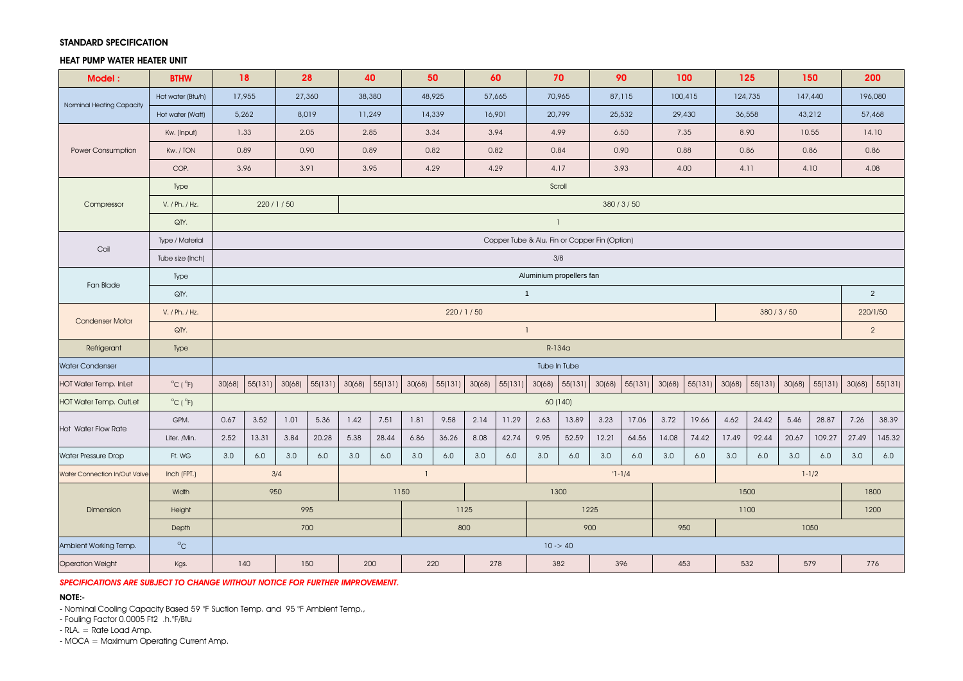## STANDARD SPECIFICATION

## HEAT PUMP WATER HEATER UNIT

| Model:                        | <b>BTHW</b>                  | 18                               |                                  |        | 28       | 40             |                |        | 50      |          | 60                                            |              | 70           | 90         |         |             | 100     |         | 125     |          | 150       |        | 200      |
|-------------------------------|------------------------------|----------------------------------|----------------------------------|--------|----------|----------------|----------------|--------|---------|----------|-----------------------------------------------|--------------|--------------|------------|---------|-------------|---------|---------|---------|----------|-----------|--------|----------|
| Norminal Heating Capacity     | Hot water (Btu/h)            | 17,955                           |                                  |        | 27,360   |                | 38,380         |        | 48,925  |          | 57,665                                        | 70,965       |              | 87,115     |         | 100,415     |         | 124,735 |         |          | 147,440   |        | 196,080  |
|                               | Hot water (Watt)             |                                  | 5,262                            |        | 8,019    |                | 11,249         |        | 14,339  |          | 16,901                                        | 20,799       |              | 25,532     |         | 29,430      |         | 36,558  |         |          | 43,212    |        | 57,468   |
| Power Consumption             | Kw. (Input)                  |                                  | 1.33                             |        | 2.05     |                | 2.85           |        | 3.34    |          | 3.94                                          | 4.99         |              | 6.50       |         | 7.35        |         | 8.90    |         |          | 10.55     |        | 14.10    |
|                               | Kw. / TON                    |                                  | 0.89                             |        | 0.90     | 0.89           |                |        | 0.82    |          | 0.82                                          | 0.84         |              | 0.90       |         | 0.88        |         | 0.86    |         |          | 0.86      |        | 0.86     |
|                               | COP.                         | 3.96                             |                                  |        | 3.91     | 3.95           |                |        | 4.29    |          | 4.29                                          |              | 4.17         | 3.93       |         | 4.00        |         | 4.11    |         |          | 4.10      |        | 4.08     |
|                               | Type                         |                                  |                                  |        |          |                |                |        |         |          |                                               |              | Scroll       |            |         |             |         |         |         |          |           |        |          |
| Compressor                    | V. / Ph. / Hz.               | 220/1/50                         |                                  |        | 380/3/50 |                |                |        |         |          |                                               |              |              |            |         |             |         |         |         |          |           |        |          |
|                               | QTY.                         |                                  |                                  |        |          |                |                |        |         |          |                                               | $\mathbf{1}$ |              |            |         |             |         |         |         |          |           |        |          |
| Coil                          | Type / Material              |                                  |                                  |        |          |                |                |        |         |          | Copper Tube & Alu. Fin or Copper Fin (Option) |              |              |            |         |             |         |         |         |          |           |        |          |
|                               | Tube size (Inch)             |                                  | 3/8                              |        |          |                |                |        |         |          |                                               |              |              |            |         |             |         |         |         |          |           |        |          |
| Fan Blade                     | Type                         | Aluminium propellers fan         |                                  |        |          |                |                |        |         |          |                                               |              |              |            |         |             |         |         |         |          |           |        |          |
|                               | QTY.                         |                                  | $\overline{1}$<br>$\overline{2}$ |        |          |                |                |        |         |          |                                               |              |              |            |         |             |         |         |         |          |           |        |          |
| <b>Condenser Motor</b>        | V. / Ph. / Hz.               |                                  |                                  |        |          |                |                |        |         | 220/1/50 |                                               |              |              |            |         |             |         |         |         | 380/3/50 |           |        | 220/1/50 |
|                               | QTY.                         | $\overline{2}$<br>$\overline{1}$ |                                  |        |          |                |                |        |         |          |                                               |              |              |            |         |             |         |         |         |          |           |        |          |
| Refrigerant                   | Type                         |                                  | $R-134a$                         |        |          |                |                |        |         |          |                                               |              |              |            |         |             |         |         |         |          |           |        |          |
| <b>Water Condenser</b>        |                              |                                  |                                  |        |          |                |                |        |         |          |                                               |              | Tube In Tube |            |         |             |         |         |         |          |           |        |          |
| <b>HOT Water Temp. InLet</b>  | $^{\circ}$ C ( $^{\circ}$ F) | 30(68)                           | 55(131)                          | 30(68) | 55(131)  |                | 30(68) 55(131) | 30(68) | 55(131) | 30(68)   | 55(131)                                       | 30(68)       | 55(131)      | 30(68)     | 55(131) | 30(68)      | 55(131) | 30(68)  | 55(131) | 30(68)   | 55(131)   | 30(68) | 55(131)  |
| <b>HOT Water Temp. OutLet</b> | $^{\circ}$ C ( $^{\circ}$ F) | 60 (140)                         |                                  |        |          |                |                |        |         |          |                                               |              |              |            |         |             |         |         |         |          |           |        |          |
|                               | GPM.                         | 0.67                             | 3.52                             | 1.01   | 5.36     | 1.42           | 7.51           | 1.81   | 9.58    | 2.14     | 11.29                                         | 2.63         | 13.89        | 3.23       | 17.06   | 3.72        | 19.66   | 4.62    | 24.42   | 5.46     | 28.87     | 7.26   | 38.39    |
| <b>Hot Water Flow Rate</b>    | Liter. /Min.                 | 2.52                             | 13.31                            | 3.84   | 20.28    | 5.38           | 28.44          | 6.86   | 36.26   | 8.08     | 42.74                                         | 9.95         | 52.59        | 12.21      | 64.56   | 14.08       | 74.42   | 17.49   | 92.44   | 20.67    | 109.27    | 27.49  | 145.32   |
| <b>Water Pressure Drop</b>    | Ft. WG                       | 3.0                              | 6.0                              | 3.0    | 6.0      | 3.0            | 6.0            | 3.0    | 6.0     | 3.0      | 6.0                                           | 3.0          | 6.0          | 3.0        | 6.0     | 3.0         | 6.0     | 3.0     | 6.0     | 3.0      | 6.0       | 3.0    | 6.0      |
| Water Connection In/Out Valve | Inch (FPT.)                  |                                  |                                  | 3/4    |          | $\overline{1}$ |                |        |         |          |                                               |              |              | $'1 - 1/4$ |         |             |         |         |         |          | $1 - 1/2$ |        |          |
| Dimension                     | Width                        |                                  |                                  | 950    |          | 1150           |                |        |         |          |                                               | 1300         |              |            |         | 1500        |         |         |         |          |           | 1800   |          |
|                               | Height                       |                                  |                                  |        | 995      |                |                |        |         | 1125     |                                               | 1225         |              |            |         | 1100        |         |         |         |          |           |        | 1200     |
|                               | Depth                        |                                  |                                  |        | 700      |                |                |        |         | 800      |                                               | 900          |              |            |         | 950<br>1050 |         |         |         |          |           |        |          |
| Ambient Working Temp.         | $\circ_{\text{\rm C}}$       |                                  |                                  |        |          |                |                |        |         |          |                                               | $10 - 40$    |              |            |         |             |         |         |         |          |           |        |          |
| <b>Operation Weight</b>       | Kgs.                         |                                  | 140                              |        | 150      | 200            |                |        | 220     |          | 278                                           | 382          |              | 396        |         | 453         |         | 532     |         | 579      |           | 776    |          |

*SPECIFICATIONS ARE SUBJECT TO CHANGE WITHOUT NOTICE FOR FURTHER IMPROVEMENT.*

# NOTE:-

- Nominal Cooling Capacity Based 59 °F Suction Temp. and 95 °F Ambient Temp.,

- Fouling Factor 0.0005 Ft2 .h.°F/Btu

- RLA. = Rate Load Amp.

- MOCA = Maximum Operating Current Amp.